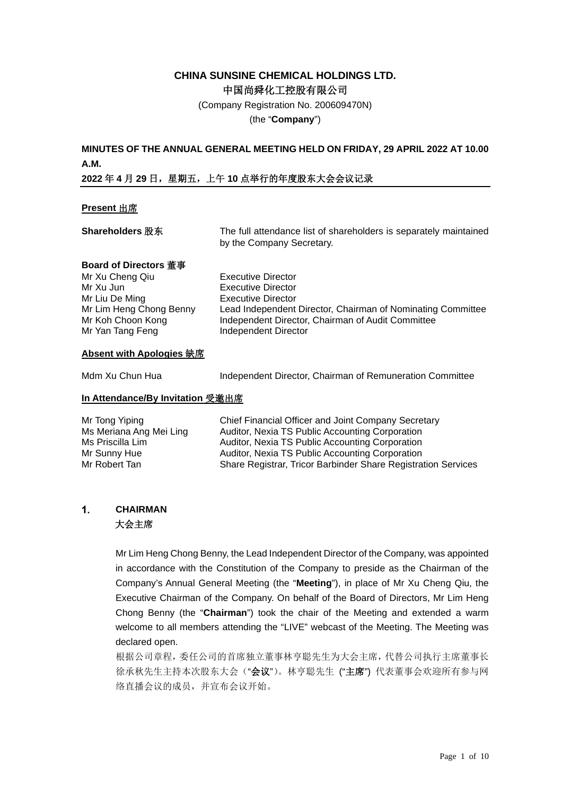## **CHINA SUNSINE CHEMICAL HOLDINGS LTD.** 中国尚舜化工控股有限公司

(Company Registration No. 200609470N)

(the "**Company**")

## **MINUTES OF THE ANNUAL GENERAL MEETING HELD ON FRIDAY, 29 APRIL 2022 AT 10.00 A.M.**

### **2022** 年 **4** 月 **29** 日,星期五,上午 **10** 点举行的年度股东大会会议记录

### **Present** 出席

| <b>Shareholders 股东</b>                                                                                                                             | The full attendance list of shareholders is separately maintained<br>by the Company Secretary.                                                                                                                    |  |  |
|----------------------------------------------------------------------------------------------------------------------------------------------------|-------------------------------------------------------------------------------------------------------------------------------------------------------------------------------------------------------------------|--|--|
| <b>Board of Directors 董事</b><br>Mr Xu Cheng Qiu<br>Mr Xu Jun<br>Mr Liu De Ming<br>Mr Lim Heng Chong Benny<br>Mr Koh Choon Kong<br>Mr Yan Tang Feng | Executive Director<br>Executive Director<br><b>Executive Director</b><br>Lead Independent Director, Chairman of Nominating Committee<br>Independent Director, Chairman of Audit Committee<br>Independent Director |  |  |
| Absent with Apologies 缺席                                                                                                                           |                                                                                                                                                                                                                   |  |  |
| Mdm Xu Chun Hua                                                                                                                                    | Independent Director, Chairman of Remuneration Committee                                                                                                                                                          |  |  |

## **In Attendance/By Invitation** 受邀出席

| Mr Tong Yiping<br>Ms Meriana Ang Mei Ling | Chief Financial Officer and Joint Company Secretary<br>Auditor, Nexia TS Public Accounting Corporation |
|-------------------------------------------|--------------------------------------------------------------------------------------------------------|
| Ms Priscilla Lim                          | Auditor, Nexia TS Public Accounting Corporation                                                        |
| Mr Sunny Hue                              | Auditor, Nexia TS Public Accounting Corporation                                                        |
| Mr Robert Tan                             | Share Registrar, Tricor Barbinder Share Registration Services                                          |

#### $\mathbf{1}$ . **CHAIRMAN** 大会主席

Mr Lim Heng Chong Benny, the Lead Independent Director of the Company, was appointed in accordance with the Constitution of the Company to preside as the Chairman of the Company's Annual General Meeting (the "**Meeting**"), in place of Mr Xu Cheng Qiu, the Executive Chairman of the Company. On behalf of the Board of Directors, Mr Lim Heng Chong Benny (the "**Chairman**") took the chair of the Meeting and extended a warm welcome to all members attending the "LIVE" webcast of the Meeting. The Meeting was declared open.

根据公司章程,委任公司的首席独立董事林亨聪先生为大会主席,代替公司执行主席董事长 徐承秋先生主持本次股东大会("会议")。林亨聪先生("主席")代表董事会欢迎所有参与网 络直播会议的成员,并宣布会议开始。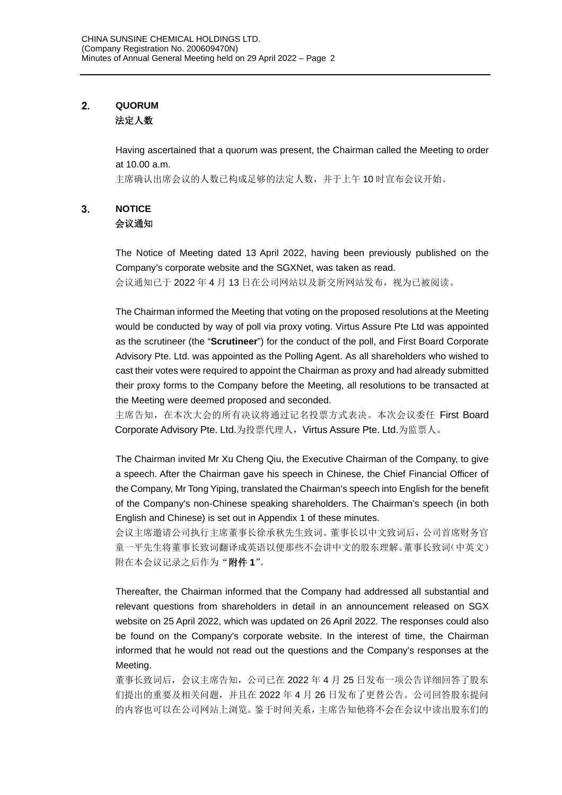#### $2.$ **QUORUM** 法定人数

Having ascertained that a quorum was present, the Chairman called the Meeting to order at 10.00 a.m.

主席确认出席会议的人数已构成足够的法定人数,并于上午 10 时宣布会议开始。

#### $3<sub>1</sub>$ **NOTICE** 会议通知

The Notice of Meeting dated 13 April 2022, having been previously published on the Company's corporate website and the SGXNet, was taken as read.

会议通知已于 2022 年 4 月 13 日在公司网站以及新交所网站发布,视为已被阅读。

The Chairman informed the Meeting that voting on the proposed resolutions at the Meeting would be conducted by way of poll via proxy voting. Virtus Assure Pte Ltd was appointed as the scrutineer (the "**Scrutineer**") for the conduct of the poll, and First Board Corporate Advisory Pte. Ltd. was appointed as the Polling Agent. As all shareholders who wished to cast their votes were required to appoint the Chairman as proxy and had already submitted their proxy forms to the Company before the Meeting, all resolutions to be transacted at the Meeting were deemed proposed and seconded.

主席告知, 在本次大会的所有决议将通过记名投票方式表决。本次会议委任 First Board Corporate Advisory Pte. Ltd.为投票代理人, Virtus Assure Pte. Ltd.为监票人。

The Chairman invited Mr Xu Cheng Qiu, the Executive Chairman of the Company, to give a speech. After the Chairman gave his speech in Chinese, the Chief Financial Officer of the Company, Mr Tong Yiping, translated the Chairman's speech into English for the benefit of the Company's non-Chinese speaking shareholders. The Chairman's speech (in both English and Chinese) is set out in Appendix 1 of these minutes.

会议主席邀请公司执行主席董事长徐承秋先生致词。董事长以中文致词后,公司首席财务官 童一平先生将董事长致词翻译成英语以便那些不会讲中文的股东理解。董事长致词(中英文) 附在本会议记录之后作为"附件 **1**"。

Thereafter, the Chairman informed that the Company had addressed all substantial and relevant questions from shareholders in detail in an announcement released on SGX website on 25 April 2022, which was updated on 26 April 2022. The responses could also be found on the Company's corporate website. In the interest of time, the Chairman informed that he would not read out the questions and the Company's responses at the Meeting.

董事长致词后,会议主席告知,公司已在 2022 年 4 月 25 日发布一项公告详细回答了股东 们提出的重要及相关问题,并且在 2022 年 4 月 26 日发布了更替公告。公司回答股东提问 的内容也可以在公司网站上浏览。鉴于时间关系,主席告知他将不会在会议中读出股东们的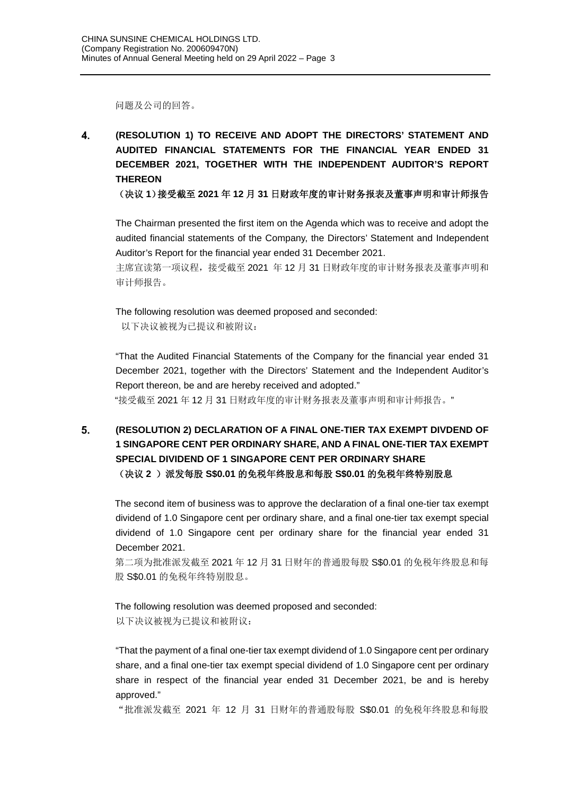问题及公司的回答。

4. **(RESOLUTION 1) TO RECEIVE AND ADOPT THE DIRECTORS' STATEMENT AND AUDITED FINANCIAL STATEMENTS FOR THE FINANCIAL YEAR ENDED 31 DECEMBER 2021, TOGETHER WITH THE INDEPENDENT AUDITOR'S REPORT THEREON**

(决议 **1**)接受截至 **2021** 年 **12** 月 **31** 日财政年度的审计财务报表及董事声明和审计师报告

The Chairman presented the first item on the Agenda which was to receive and adopt the audited financial statements of the Company, the Directors' Statement and Independent Auditor's Report for the financial year ended 31 December 2021.

主席宣读第一项议程,接受截至 2021 年 12 月 31 日财政年度的审计财务报表及董事声明和 审计师报告。

The following resolution was deemed proposed and seconded: 以下决议被视为已提议和被附议:

"That the Audited Financial Statements of the Company for the financial year ended 31 December 2021, together with the Directors' Statement and the Independent Auditor's Report thereon, be and are hereby received and adopted."

"接受截至 2021 年 12 月 31 日财政年度的审计财务报表及董事声明和审计师报告。"

### 5. **(RESOLUTION 2) DECLARATION OF A FINAL ONE-TIER TAX EXEMPT DIVDEND OF 1 SINGAPORE CENT PER ORDINARY SHARE, AND A FINAL ONE-TIER TAX EXEMPT SPECIAL DIVIDEND OF 1 SINGAPORE CENT PER ORDINARY SHARE** (决议 **2** )派发每股 **S\$0.01** 的免税年终股息和每股 **S\$0.01** 的免税年终特别股息

The second item of business was to approve the declaration of a final one-tier tax exempt dividend of 1.0 Singapore cent per ordinary share, and a final one-tier tax exempt special dividend of 1.0 Singapore cent per ordinary share for the financial year ended 31 December 2021.

第二项为批准派发截至 2021 年 12 月 31 日财年的普通股每股 S\$0.01 的免税年终股息和每 股 S\$0.01 的免税年终特别股息。

The following resolution was deemed proposed and seconded: 以下决议被视为已提议和被附议:

"That the payment of a final one-tier tax exempt dividend of 1.0 Singapore cent per ordinary share, and a final one-tier tax exempt special dividend of 1.0 Singapore cent per ordinary share in respect of the financial year ended 31 December 2021, be and is hereby approved."

"批准派发截至 2021 年 12 月 31 日财年的普通股每股 S\$0.01 的免税年终股息和每股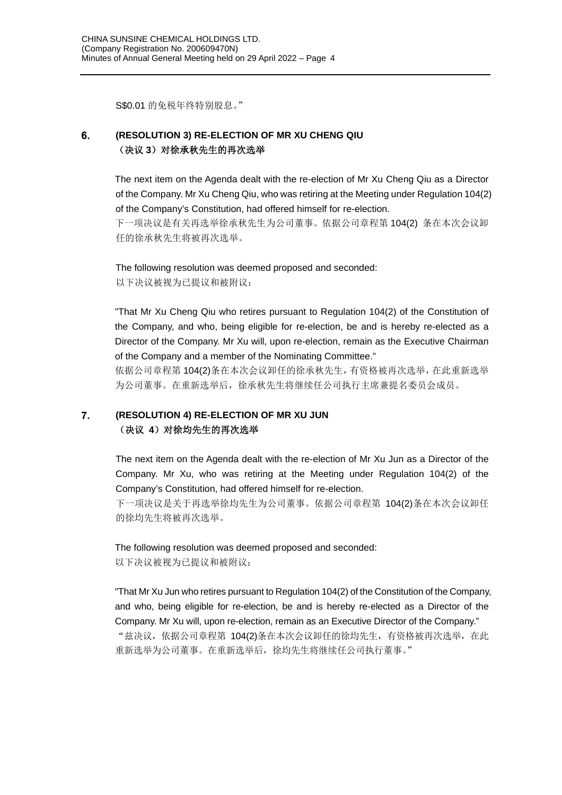S\$0.01 的免税年终特别股息。"

#### 6. **(RESOLUTION 3) RE-ELECTION OF MR XU CHENG QIU** (决议 **3**)对徐承秋先生的再次选举

The next item on the Agenda dealt with the re-election of Mr Xu Cheng Qiu as a Director of the Company. Mr Xu Cheng Qiu, who was retiring at the Meeting under Regulation 104(2) of the Company's Constitution, had offered himself for re-election.

下一项决议是有关再选举徐承秋先生为公司董事。依据公司章程第 104(2) 条在本次会议卸 任的徐承秋先生将被再次选举。

The following resolution was deemed proposed and seconded: 以下决议被视为已提议和被附议:

"That Mr Xu Cheng Qiu who retires pursuant to Regulation 104(2) of the Constitution of the Company, and who, being eligible for re-election, be and is hereby re-elected as a Director of the Company. Mr Xu will, upon re-election, remain as the Executive Chairman of the Company and a member of the Nominating Committee."

依据公司章程第 104(2)条在本次会议卸任的徐承秋先生,有资格被再次选举,在此重新选举 为公司董事。在重新选举后,徐承秋先生将继续任公司执行主席兼提名委员会成员。

#### $7.$ **(RESOLUTION 4) RE-ELECTION OF MR XU JUN** (决议 4) 对徐均先生的再次选举

The next item on the Agenda dealt with the re-election of Mr Xu Jun as a Director of the Company. Mr Xu, who was retiring at the Meeting under Regulation 104(2) of the Company's Constitution, had offered himself for re-election.

下一项决议是关于再选举徐均先生为公司董事。依据公司章程第 104(2)条在本次会议卸任 的徐均先生将被再次选举。

The following resolution was deemed proposed and seconded: 以下决议被视为已提议和被附议:

"That Mr Xu Jun who retires pursuant to Regulation 104(2) of the Constitution of the Company, and who, being eligible for re-election, be and is hereby re-elected as a Director of the Company. Mr Xu will, upon re-election, remain as an Executive Director of the Company." "兹决议,依据公司章程第 104(2)条在本次会议卸任的徐均先生,有资格被再次选举,在此 重新选举为公司董事。在重新选举后,徐均先生将继续任公司执行董事。"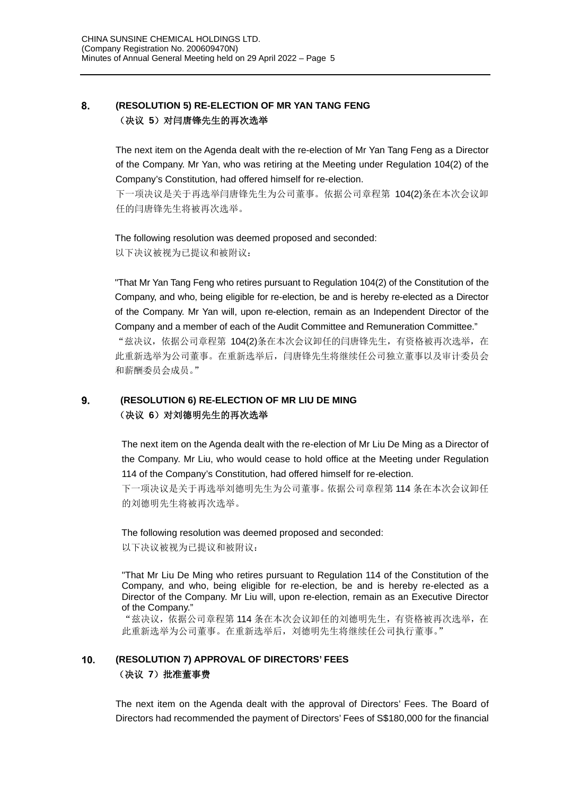#### 8. **(RESOLUTION 5) RE-ELECTION OF MR YAN TANG FENG** (决议 5) 对闫唐锋先生的再次选举

The next item on the Agenda dealt with the re-election of Mr Yan Tang Feng as a Director of the Company. Mr Yan, who was retiring at the Meeting under Regulation 104(2) of the Company's Constitution, had offered himself for re-election.

下一项决议是关于再选举闫唐锋先生为公司董事。依据公司章程第 104(2)条在本次会议卸 任的闫唐锋先生将被再次选举。

The following resolution was deemed proposed and seconded: 以下决议被视为已提议和被附议:

"That Mr Yan Tang Feng who retires pursuant to Regulation 104(2) of the Constitution of the Company, and who, being eligible for re-election, be and is hereby re-elected as a Director of the Company. Mr Yan will, upon re-election, remain as an Independent Director of the Company and a member of each of the Audit Committee and Remuneration Committee." "兹决议,依据公司章程第 104(2)条在本次会议卸任的闫唐锋先生,有资格被再次选举,在 此重新选举为公司董事。在重新选举后,闫唐锋先生将继续任公司独立董事以及审计委员会 和薪酬委员会成员。"

#### $9.$ **(RESOLUTION 6) RE-ELECTION OF MR LIU DE MING** (决议 **6**)对刘德明先生的再次选举

The next item on the Agenda dealt with the re-election of Mr Liu De Ming as a Director of the Company. Mr Liu, who would cease to hold office at the Meeting under Regulation 114 of the Company's Constitution, had offered himself for re-election.

下一项决议是关于再选举刘德明先生为公司董事。依据公司章程第 114 条在本次会议卸任 的刘德明先生将被再次选举。

The following resolution was deemed proposed and seconded: 以下决议被视为已提议和被附议:

"That Mr Liu De Ming who retires pursuant to Regulation 114 of the Constitution of the Company, and who, being eligible for re-election, be and is hereby re-elected as a Director of the Company. Mr Liu will, upon re-election, remain as an Executive Director of the Company."

"兹决议,依据公司章程第 114 条在本次会议卸任的刘德明先生,有资格被再次选举,在 此重新选举为公司董事。在重新选举后,刘德明先生将继续任公司执行董事。"

#### **(RESOLUTION 7) APPROVAL OF DIRECTORS' FEES**  $10.$ (决议 **7**)批准董事费

The next item on the Agenda dealt with the approval of Directors' Fees. The Board of Directors had recommended the payment of Directors' Fees of S\$180,000 for the financial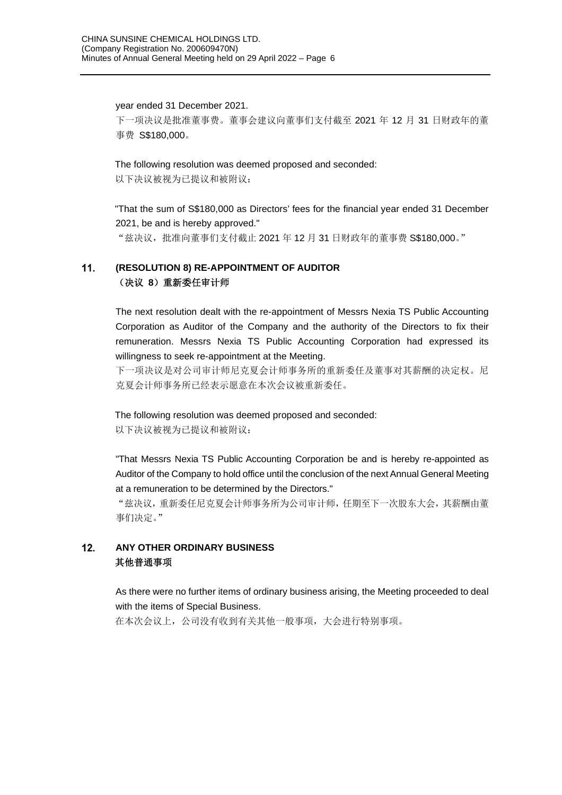year ended 31 December 2021. 下一项决议是批准董事费。董事会建议向董事们支付截至 2021 年 12 月 31 日财政年的董 事费 S\$180,000。

The following resolution was deemed proposed and seconded:

以下决议被视为已提议和被附议:

"That the sum of S\$180,000 as Directors' fees for the financial year ended 31 December 2021, be and is hereby approved."

"兹决议,批准向董事们支付截止 2021 年 12 月 31 日财政年的董事费 S\$180,000。"

#### $11.$ **(RESOLUTION 8) RE-APPOINTMENT OF AUDITOR** (决议 **8**)重新委任审计师

The next resolution dealt with the re-appointment of Messrs Nexia TS Public Accounting Corporation as Auditor of the Company and the authority of the Directors to fix their remuneration. Messrs Nexia TS Public Accounting Corporation had expressed its willingness to seek re-appointment at the Meeting.

下一项决议是对公司审计师尼克夏会计师事务所的重新委任及董事对其薪酬的决定权。尼 克夏会计师事务所已经表示愿意在本次会议被重新委任。

The following resolution was deemed proposed and seconded: 以下决议被视为已提议和被附议:

"That Messrs Nexia TS Public Accounting Corporation be and is hereby re-appointed as Auditor of the Company to hold office until the conclusion of the next Annual General Meeting at a remuneration to be determined by the Directors."

"兹决议,重新委任尼克夏会计师事务所为公司审计师,任期至下一次股东大会,其薪酬由董 事们决定。"

#### $12.$ **ANY OTHER ORDINARY BUSINESS** 其他普通事项

As there were no further items of ordinary business arising, the Meeting proceeded to deal with the items of Special Business.

在本次会议上,公司没有收到有关其他一般事项,大会进行特别事项。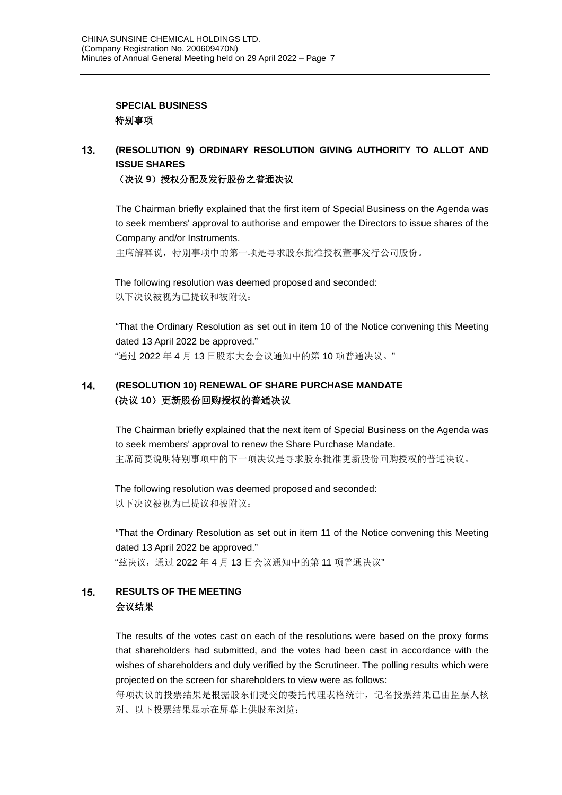### **SPECIAL BUSINESS** 特别事项

#### $13.$ **(RESOLUTION 9) ORDINARY RESOLUTION GIVING AUTHORITY TO ALLOT AND ISSUE SHARES** (决议 9)授权分配及发行股份之普通决议

The Chairman briefly explained that the first item of Special Business on the Agenda was to seek members' approval to authorise and empower the Directors to issue shares of the

Company and/or Instruments.

主席解释说,特别事项中的第一项是寻求股东批准授权董事发行公司股份。

The following resolution was deemed proposed and seconded: 以下决议被视为已提议和被附议:

"That the Ordinary Resolution as set out in item 10 of the Notice convening this Meeting dated 13 April 2022 be approved." "通过 2022 年 4 月 13 日股东大会会议通知中的第 10 项普通决议。"

#### $14.$ **(RESOLUTION 10) RENEWAL OF SHARE PURCHASE MANDATE (**决议 **10**)更新股份回购授权的普通决议

The Chairman briefly explained that the next item of Special Business on the Agenda was to seek members' approval to renew the Share Purchase Mandate. 主席简要说明特别事项中的下一项决议是寻求股东批准更新股份回购授权的普通决议。

The following resolution was deemed proposed and seconded: 以下决议被视为已提议和被附议:

"That the Ordinary Resolution as set out in item 11 of the Notice convening this Meeting dated 13 April 2022 be approved." "兹决议,通过 2022 年 4 月 13 日会议通知中的第 11 项普通决议"

#### $15<sub>1</sub>$ **RESULTS OF THE MEETING** 会议结果

The results of the votes cast on each of the resolutions were based on the proxy forms that shareholders had submitted, and the votes had been cast in accordance with the wishes of shareholders and duly verified by the Scrutineer. The polling results which were projected on the screen for shareholders to view were as follows:

每项决议的投票结果是根据股东们提交的委托代理表格统计,记名投票结果已由监票人核 对。以下投票结果显示在屏幕上供股东浏览: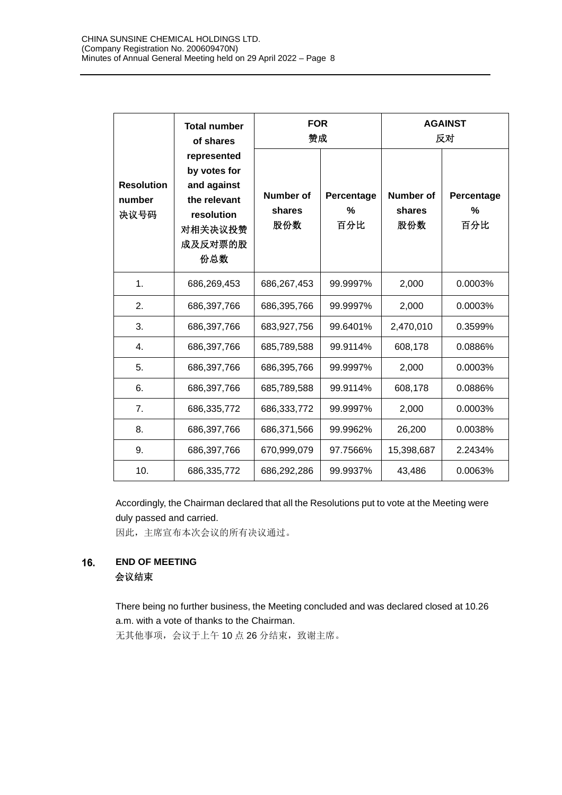|                                     | <b>Total number</b><br>of shares<br>represented<br>by votes for<br>and against<br>the relevant<br>resolution<br>对相关决议投赞<br>成及反对票的股<br>份总数 | <b>FOR</b><br>赞成                  |                        | <b>AGAINST</b><br>反对              |                                    |
|-------------------------------------|-------------------------------------------------------------------------------------------------------------------------------------------|-----------------------------------|------------------------|-----------------------------------|------------------------------------|
| <b>Resolution</b><br>number<br>决议号码 |                                                                                                                                           | <b>Number of</b><br>shares<br>股份数 | Percentage<br>%<br>百分比 | <b>Number of</b><br>shares<br>股份数 | Percentage<br>$\frac{0}{0}$<br>百分比 |
| 1.                                  | 686,269,453                                                                                                                               | 686,267,453                       | 99.9997%               | 2,000                             | 0.0003%                            |
| 2.                                  | 686,397,766                                                                                                                               | 686,395,766                       | 99.9997%               | 2,000                             | 0.0003%                            |
| 3.                                  | 686,397,766                                                                                                                               | 683,927,756                       | 99.6401%               | 2,470,010                         | 0.3599%                            |
| 4.                                  | 686,397,766                                                                                                                               | 685,789,588                       | 99.9114%               | 608,178                           | 0.0886%                            |
| 5.                                  | 686,397,766                                                                                                                               | 686,395,766                       | 99.9997%               | 2,000                             | 0.0003%                            |
| 6.                                  | 686,397,766                                                                                                                               | 685,789,588                       | 99.9114%               | 608,178                           | 0.0886%                            |
| 7.                                  | 686,335,772                                                                                                                               | 686,333,772                       | 99.9997%               | 2,000                             | 0.0003%                            |
| 8.                                  | 686,397,766                                                                                                                               | 686,371,566                       | 99.9962%               | 26,200                            | 0.0038%                            |
| 9.                                  | 686,397,766                                                                                                                               | 670,999,079                       | 97.7566%               | 15,398,687                        | 2.2434%                            |
| 10.                                 | 686,335,772                                                                                                                               | 686,292,286                       | 99.9937%               | 43,486                            | 0.0063%                            |

Accordingly, the Chairman declared that all the Resolutions put to vote at the Meeting were duly passed and carried.

因此,主席宣布本次会议的所有决议通过。

#### 16. **END OF MEETING** 会议结束

There being no further business, the Meeting concluded and was declared closed at 10.26 a.m. with a vote of thanks to the Chairman.

无其他事项,会议于上午10点26分结束,致谢主席。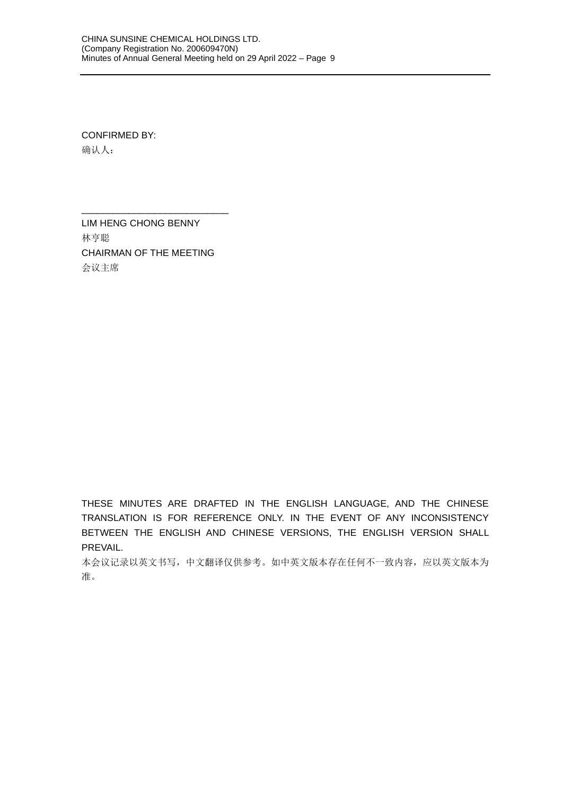CONFIRMED BY: 确认人:

LIM HENG CHONG BENNY 林亨聪 CHAIRMAN OF THE MEETING 会议主席

\_\_\_\_\_\_\_\_\_\_\_\_\_\_\_\_\_\_\_\_\_\_\_\_\_\_\_\_

THESE MINUTES ARE DRAFTED IN THE ENGLISH LANGUAGE, AND THE CHINESE TRANSLATION IS FOR REFERENCE ONLY. IN THE EVENT OF ANY INCONSISTENCY BETWEEN THE ENGLISH AND CHINESE VERSIONS, THE ENGLISH VERSION SHALL PREVAIL.

本会议记录以英文书写,中文翻译仅供参考。如中英文版本存在任何不一致内容,应以英文版本为 准。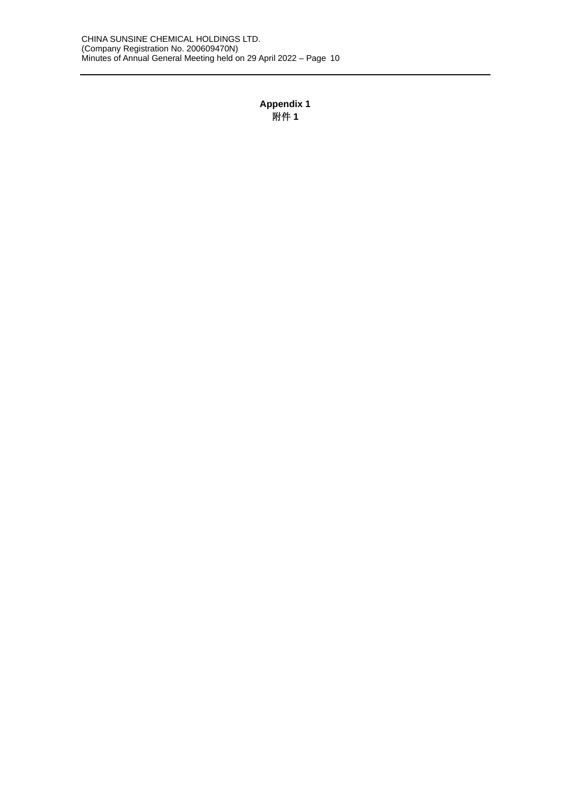## **Appendix 1** 附件 **1**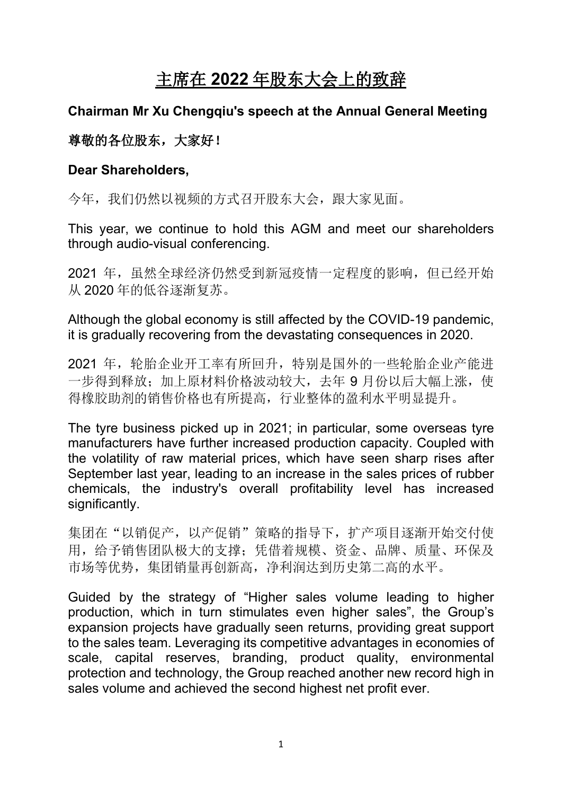# 主席在 **2022** 年股东大会上的致辞

## **Chairman Mr Xu Chengqiu's speech at the Annual General Meeting**

## 尊敬的各位股东,大家好!

## **Dear Shareholders,**

今年,我们仍然以视频的方式召开股东大会,跟大家见面。

This year, we continue to hold this AGM and meet our shareholders through audio-visual conferencing.

2021 年,虽然全球经济仍然受到新冠疫情一定程度的影响,但已经开始 从 2020 年的低谷逐渐复苏。

Although the global economy is still affected by the COVID-19 pandemic, it is gradually recovering from the devastating consequences in 2020.

2021 年,轮胎企业开工率有所回升,特别是国外的一些轮胎企业产能进 一步得到释放;加上原材料价格波动较大,去年 9 月份以后大幅上涨,使 得橡胶助剂的销售价格也有所提高,行业整体的盈利水平明显提升。

The tyre business picked up in 2021; in particular, some overseas tyre manufacturers have further increased production capacity. Coupled with the volatility of raw material prices, which have seen sharp rises after September last year, leading to an increase in the sales prices of rubber chemicals, the industry's overall profitability level has increased significantly.

集团在"以销促产,以产促销"策略的指导下,扩产项目逐渐开始交付使 用,给予销售团队极大的支撑;凭借着规模、资金、品牌、质量、环保及 市场等优势,集团销量再创新高,净利润达到历史第二高的水平。

Guided by the strategy of "Higher sales volume leading to higher production, which in turn stimulates even higher sales", the Group's expansion projects have gradually seen returns, providing great support to the sales team. Leveraging its competitive advantages in economies of scale, capital reserves, branding, product quality, environmental protection and technology, the Group reached another new record high in sales volume and achieved the second highest net profit ever.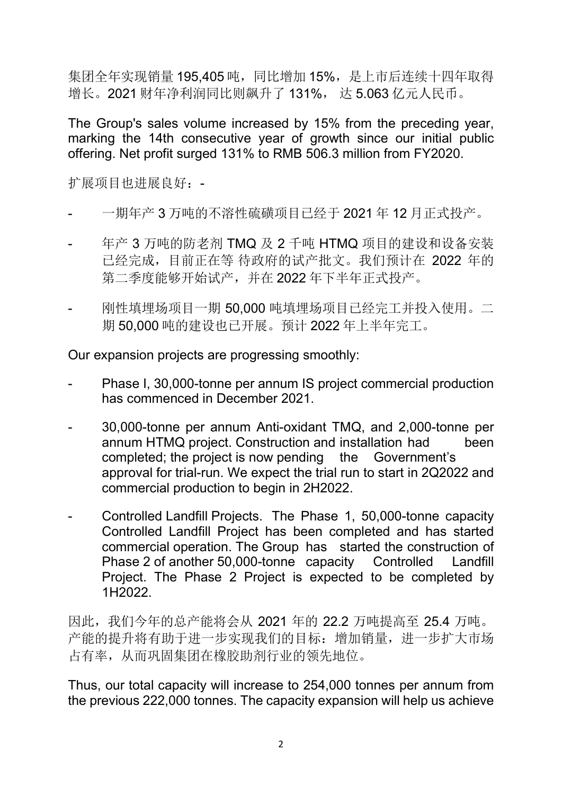集团全年实现销量 195,405 吨, 同比增加 15%, 是上市后连续十四年取得 增长。2021 财年净利润同比则飙升了 131%, 达 5.063 亿元人民币。

The Group's sales volume increased by 15% from the preceding year, marking the 14th consecutive year of growth since our initial public offering. Net profit surged 131% to RMB 506.3 million from FY2020.

扩展项目也进展良好:-

- 一期年产 3 万吨的不溶性硫磺项目已经于 2021 年 12 月正式投产。
- 年产 3 万吨的防老剂 TMQ 及 2 千吨 HTMQ 项目的建设和设备安装 已经完成,目前正在等 待政府的试产批文。我们预计在 2022 年的 第二季度能够开始试产,并在 2022 年下半年正式投产。
- 刚性填埋场项目一期 50,000 吨填埋场项目已经完工并投入使用。二 期 50,000 吨的建设也已开展。预计 2022 年上半年完工。

Our expansion projects are progressing smoothly:

- Phase I, 30,000-tonne per annum IS project commercial production has commenced in December 2021.
- 30,000-tonne per annum Anti-oxidant TMQ, and 2,000-tonne per annum HTMQ project. Construction and installation had been completed; the project is now pending the Government's approval for trial-run. We expect the trial run to start in 2Q2022 and commercial production to begin in 2H2022.
- Controlled Landfill Projects. The Phase 1, 50,000-tonne capacity Controlled Landfill Project has been completed and has started commercial operation. The Group has started the construction of Phase 2 of another 50,000-tonne capacity Controlled Landfill Project. The Phase 2 Project is expected to be completed by 1H2022.

因此,我们今年的总产能将会从 2021 年的 22.2 万吨提高至 25.4 万吨。 产能的提升将有助于进一步实现我们的目标:增加销量,进一步扩大市场 占有率,从而巩固集团在橡胶助剂行业的领先地位。

Thus, our total capacity will increase to 254,000 tonnes per annum from the previous 222,000 tonnes. The capacity expansion will help us achieve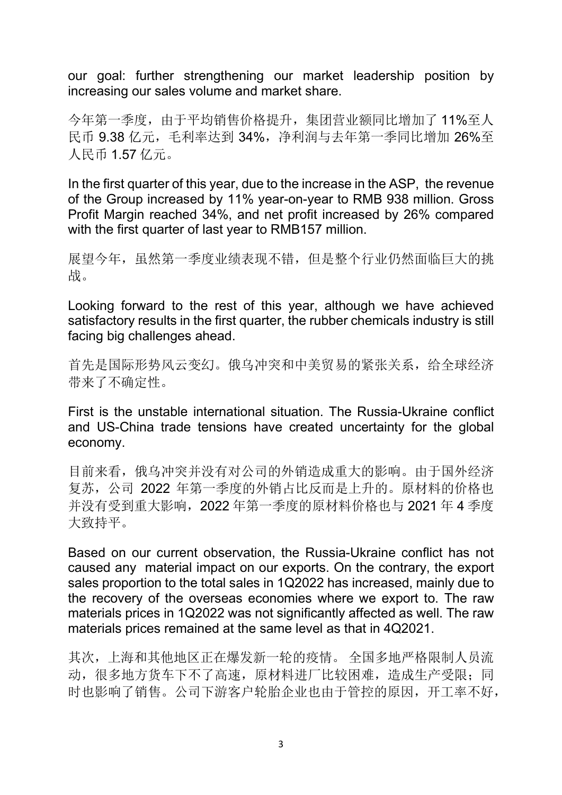our goal: further strengthening our market leadership position by increasing our sales volume and market share.

今年第一季度,由于平均销售价格提升,集团营业额同比增加了 11%至人 民币 9.38 亿元,毛利率达到 34%,净利润与去年第一季同比增加 26%至 人民币 1.57 亿元。

In the first quarter of this year, due to the increase in the ASP, the revenue of the Group increased by 11% year-on-year to RMB 938 million. Gross Profit Margin reached 34%, and net profit increased by 26% compared with the first quarter of last year to RMB157 million.

展望今年,虽然第一季度业绩表现不错,但是整个行业仍然面临巨大的挑 战。

Looking forward to the rest of this year, although we have achieved satisfactory results in the first quarter, the rubber chemicals industry is still facing big challenges ahead.

首先是国际形势风云变幻。俄乌冲突和中美贸易的紧张关系,给全球经济 带来了不确定性。

First is the unstable international situation. The Russia-Ukraine conflict and US-China trade tensions have created uncertainty for the global economy.

目前来看,俄乌冲突并没有对公司的外销造成重大的影响。由于国外经济 复苏,公司 2022 年第一季度的外销占比反而是上升的。原材料的价格也 并没有受到重大影响,2022 年第一季度的原材料价格也与 2021 年 4 季度 大致持平。

Based on our current observation, the Russia-Ukraine conflict has not caused any material impact on our exports. On the contrary, the export sales proportion to the total sales in 1Q2022 has increased, mainly due to the recovery of the overseas economies where we export to. The raw materials prices in 1Q2022 was not significantly affected as well. The raw materials prices remained at the same level as that in 4Q2021.

其次,上海和其他地区正在爆发新一轮的疫情。 全国多地严格限制人员流 动,很多地方货车下不了高速,原材料进厂比较困难,造成生产受限;同 时也影响了销售。公司下游客户轮胎企业也由于管控的原因,开工率不好,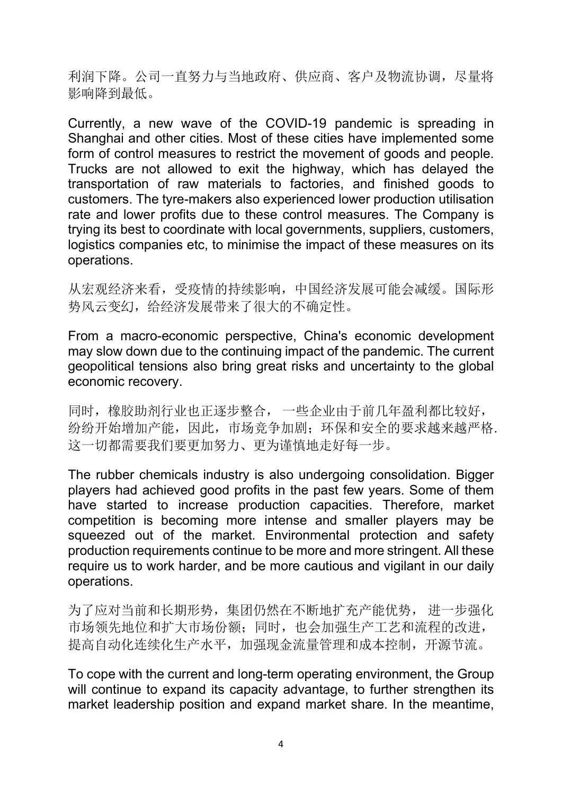利润下降。公司一直努力与当地政府、供应商、客户及物流协调,尽量将 影响降到最低。

Currently, a new wave of the COVID-19 pandemic is spreading in Shanghai and other cities. Most of these cities have implemented some form of control measures to restrict the movement of goods and people. Trucks are not allowed to exit the highway, which has delayed the transportation of raw materials to factories, and finished goods to customers. The tyre-makers also experienced lower production utilisation rate and lower profits due to these control measures. The Company is trying its best to coordinate with local governments, suppliers, customers, logistics companies etc, to minimise the impact of these measures on its operations.

从宏观经济来看,受疫情的持续影响,中国经济发展可能会减缓。国际形 势风云变幻,给经济发展带来了很大的不确定性。

From a macro-economic perspective, China's economic development may slow down due to the continuing impact of the pandemic. The current geopolitical tensions also bring great risks and uncertainty to the global economic recovery.

同时,橡胶助剂行业也正逐步整合, 一些企业由于前几年盈利都比较好, 纷纷开始增加产能,因此,市场竞争加剧;环保和安全的要求越来越严格. 这一切都需要我们要更加努力、更为谨慎地走好每一步。

The rubber chemicals industry is also undergoing consolidation. Bigger players had achieved good profits in the past few years. Some of them have started to increase production capacities. Therefore, market competition is becoming more intense and smaller players may be squeezed out of the market. Environmental protection and safety production requirements continue to be more and more stringent. All these require us to work harder, and be more cautious and vigilant in our daily operations.

为了应对当前和长期形势,集团仍然在不断地扩充产能优势, 进一步强化 市场领先地位和扩大市场份额;同时,也会加强生产工艺和流程的改进, 提高自动化连续化生产水平,加强现金流量管理和成本控制,开源节流。

To cope with the current and long-term operating environment, the Group will continue to expand its capacity advantage, to further strengthen its market leadership position and expand market share. In the meantime,